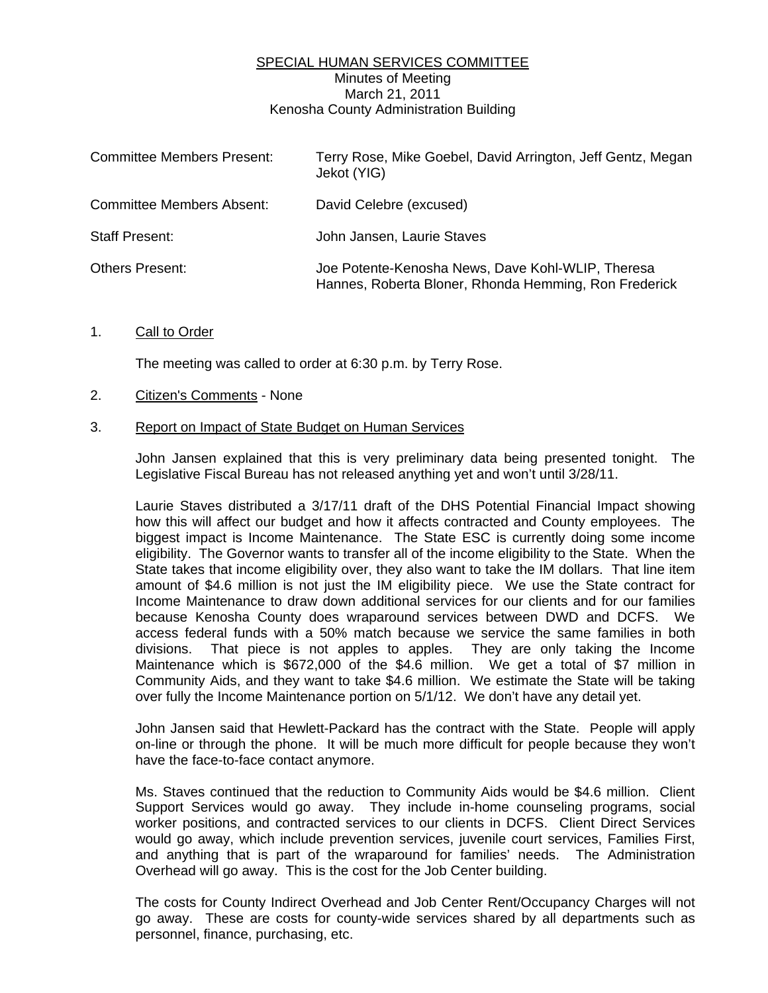# SPECIAL HUMAN SERVICES COMMITTEE Minutes of Meeting March 21, 2011 Kenosha County Administration Building

| <b>Committee Members Present:</b> | Terry Rose, Mike Goebel, David Arrington, Jeff Gentz, Megan<br>Jekot (YIG)                                 |
|-----------------------------------|------------------------------------------------------------------------------------------------------------|
| <b>Committee Members Absent:</b>  | David Celebre (excused)                                                                                    |
| <b>Staff Present:</b>             | John Jansen, Laurie Staves                                                                                 |
| <b>Others Present:</b>            | Joe Potente-Kenosha News, Dave Kohl-WLIP, Theresa<br>Hannes, Roberta Bloner, Rhonda Hemming, Ron Frederick |

# 1. Call to Order

The meeting was called to order at 6:30 p.m. by Terry Rose.

### 2. Citizen's Comments - None

### 3. Report on Impact of State Budget on Human Services

 John Jansen explained that this is very preliminary data being presented tonight. The Legislative Fiscal Bureau has not released anything yet and won't until 3/28/11.

 Laurie Staves distributed a 3/17/11 draft of the DHS Potential Financial Impact showing how this will affect our budget and how it affects contracted and County employees. The biggest impact is Income Maintenance. The State ESC is currently doing some income eligibility. The Governor wants to transfer all of the income eligibility to the State. When the State takes that income eligibility over, they also want to take the IM dollars. That line item amount of \$4.6 million is not just the IM eligibility piece. We use the State contract for Income Maintenance to draw down additional services for our clients and for our families because Kenosha County does wraparound services between DWD and DCFS. We access federal funds with a 50% match because we service the same families in both divisions. That piece is not apples to apples. They are only taking the Income Maintenance which is \$672,000 of the \$4.6 million. We get a total of \$7 million in Community Aids, and they want to take \$4.6 million. We estimate the State will be taking over fully the Income Maintenance portion on 5/1/12. We don't have any detail yet.

 John Jansen said that Hewlett-Packard has the contract with the State. People will apply on-line or through the phone. It will be much more difficult for people because they won't have the face-to-face contact anymore.

 Ms. Staves continued that the reduction to Community Aids would be \$4.6 million. Client Support Services would go away. They include in-home counseling programs, social worker positions, and contracted services to our clients in DCFS. Client Direct Services would go away, which include prevention services, juvenile court services, Families First, and anything that is part of the wraparound for families' needs. The Administration Overhead will go away. This is the cost for the Job Center building.

 The costs for County Indirect Overhead and Job Center Rent/Occupancy Charges will not go away. These are costs for county-wide services shared by all departments such as personnel, finance, purchasing, etc.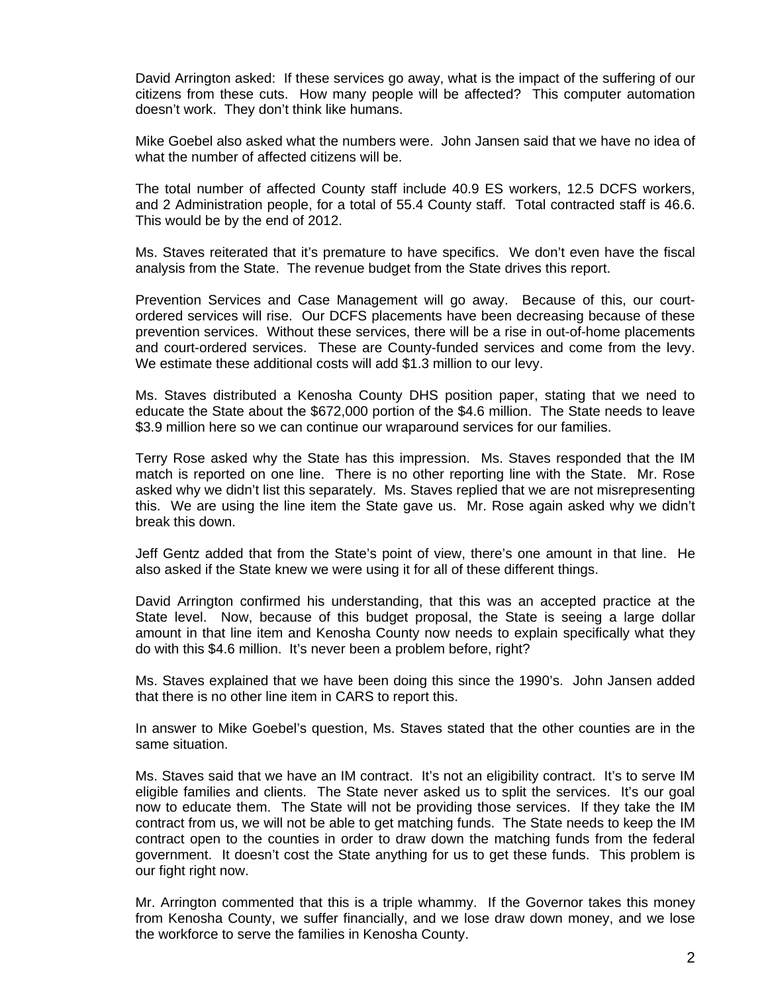David Arrington asked: If these services go away, what is the impact of the suffering of our citizens from these cuts. How many people will be affected? This computer automation doesn't work. They don't think like humans.

 Mike Goebel also asked what the numbers were. John Jansen said that we have no idea of what the number of affected citizens will be.

 The total number of affected County staff include 40.9 ES workers, 12.5 DCFS workers, and 2 Administration people, for a total of 55.4 County staff. Total contracted staff is 46.6. This would be by the end of 2012.

 Ms. Staves reiterated that it's premature to have specifics. We don't even have the fiscal analysis from the State. The revenue budget from the State drives this report.

 Prevention Services and Case Management will go away. Because of this, our courtordered services will rise. Our DCFS placements have been decreasing because of these prevention services. Without these services, there will be a rise in out-of-home placements and court-ordered services. These are County-funded services and come from the levy. We estimate these additional costs will add \$1.3 million to our levy.

 Ms. Staves distributed a Kenosha County DHS position paper, stating that we need to educate the State about the \$672,000 portion of the \$4.6 million. The State needs to leave \$3.9 million here so we can continue our wraparound services for our families.

 Terry Rose asked why the State has this impression. Ms. Staves responded that the IM match is reported on one line. There is no other reporting line with the State. Mr. Rose asked why we didn't list this separately. Ms. Staves replied that we are not misrepresenting this. We are using the line item the State gave us. Mr. Rose again asked why we didn't break this down.

 Jeff Gentz added that from the State's point of view, there's one amount in that line. He also asked if the State knew we were using it for all of these different things.

 David Arrington confirmed his understanding, that this was an accepted practice at the State level. Now, because of this budget proposal, the State is seeing a large dollar amount in that line item and Kenosha County now needs to explain specifically what they do with this \$4.6 million. It's never been a problem before, right?

 Ms. Staves explained that we have been doing this since the 1990's. John Jansen added that there is no other line item in CARS to report this.

 In answer to Mike Goebel's question, Ms. Staves stated that the other counties are in the same situation.

 Ms. Staves said that we have an IM contract. It's not an eligibility contract. It's to serve IM eligible families and clients. The State never asked us to split the services. It's our goal now to educate them. The State will not be providing those services. If they take the IM contract from us, we will not be able to get matching funds. The State needs to keep the IM contract open to the counties in order to draw down the matching funds from the federal government. It doesn't cost the State anything for us to get these funds. This problem is our fight right now.

 Mr. Arrington commented that this is a triple whammy. If the Governor takes this money from Kenosha County, we suffer financially, and we lose draw down money, and we lose the workforce to serve the families in Kenosha County.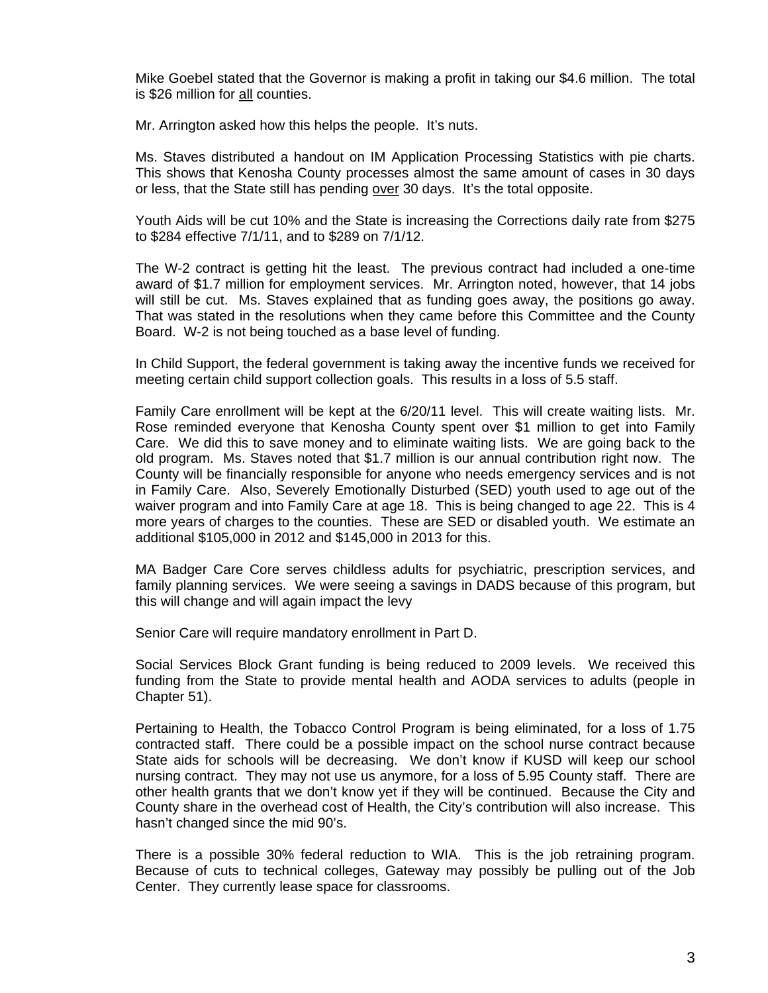Mike Goebel stated that the Governor is making a profit in taking our \$4.6 million. The total is \$26 million for all counties.

Mr. Arrington asked how this helps the people. It's nuts.

 Ms. Staves distributed a handout on IM Application Processing Statistics with pie charts. This shows that Kenosha County processes almost the same amount of cases in 30 days or less, that the State still has pending over 30 days. It's the total opposite.

 Youth Aids will be cut 10% and the State is increasing the Corrections daily rate from \$275 to \$284 effective 7/1/11, and to \$289 on 7/1/12.

 The W-2 contract is getting hit the least. The previous contract had included a one-time award of \$1.7 million for employment services. Mr. Arrington noted, however, that 14 jobs will still be cut. Ms. Staves explained that as funding goes away, the positions go away. That was stated in the resolutions when they came before this Committee and the County Board. W-2 is not being touched as a base level of funding.

 In Child Support, the federal government is taking away the incentive funds we received for meeting certain child support collection goals. This results in a loss of 5.5 staff.

 Family Care enrollment will be kept at the 6/20/11 level. This will create waiting lists. Mr. Rose reminded everyone that Kenosha County spent over \$1 million to get into Family Care. We did this to save money and to eliminate waiting lists. We are going back to the old program. Ms. Staves noted that \$1.7 million is our annual contribution right now. The County will be financially responsible for anyone who needs emergency services and is not in Family Care. Also, Severely Emotionally Disturbed (SED) youth used to age out of the waiver program and into Family Care at age 18. This is being changed to age 22. This is 4 more years of charges to the counties. These are SED or disabled youth. We estimate an additional \$105,000 in 2012 and \$145,000 in 2013 for this.

 MA Badger Care Core serves childless adults for psychiatric, prescription services, and family planning services. We were seeing a savings in DADS because of this program, but this will change and will again impact the levy

Senior Care will require mandatory enrollment in Part D.

 Social Services Block Grant funding is being reduced to 2009 levels. We received this funding from the State to provide mental health and AODA services to adults (people in Chapter 51).

 Pertaining to Health, the Tobacco Control Program is being eliminated, for a loss of 1.75 contracted staff. There could be a possible impact on the school nurse contract because State aids for schools will be decreasing. We don't know if KUSD will keep our school nursing contract. They may not use us anymore, for a loss of 5.95 County staff. There are other health grants that we don't know yet if they will be continued. Because the City and County share in the overhead cost of Health, the City's contribution will also increase. This hasn't changed since the mid 90's.

 There is a possible 30% federal reduction to WIA. This is the job retraining program. Because of cuts to technical colleges, Gateway may possibly be pulling out of the Job Center. They currently lease space for classrooms.